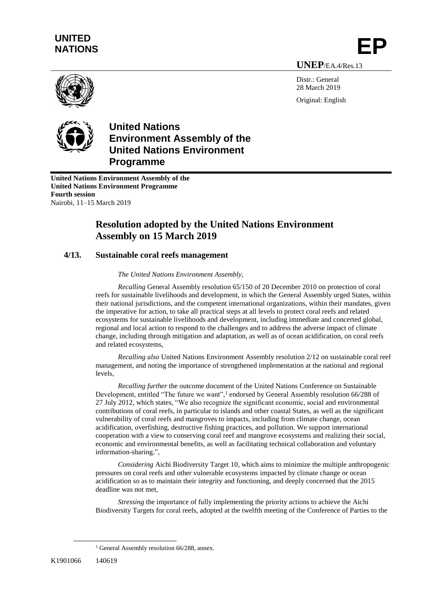# **UNITED** UNITED<br>NATIONS **EP**

**UNEP**/EA.4/Res.13

Distr · General 28 March 2019 Original: English





## **United Nations Environment Assembly of the United Nations Environment Programme**

**United Nations Environment Assembly of the United Nations Environment Programme Fourth session** Nairobi, 11–15 March 2019

## **Resolution adopted by the United Nations Environment Assembly on 15 March 2019**

#### **4/13. Sustainable coral reefs management**

#### *The United Nations Environment Assembly,*

*Recalling* General Assembly resolution 65/150 of 20 December 2010 on protection of coral reefs for sustainable livelihoods and development, in which the General Assembly urged States, within their national jurisdictions, and the competent international organizations, within their mandates, given the imperative for action, to take all practical steps at all levels to protect coral reefs and related ecosystems for sustainable livelihoods and development, including immediate and concerted global, regional and local action to respond to the challenges and to address the adverse impact of climate change, including through mitigation and adaptation, as well as of ocean acidification, on coral reefs and related ecosystems,

*Recalling also* United Nations Environment Assembly resolution 2/12 on sustainable coral reef management, and noting the importance of strengthened implementation at the national and regional levels,

*Recalling further* the outcome document of the United Nations Conference on Sustainable Development, entitled "The future we want",<sup>1</sup> endorsed by General Assembly resolution 66/288 of 27 July 2012, which states, "We also recognize the significant economic, social and environmental contributions of coral reefs, in particular to islands and other coastal States, as well as the significant vulnerability of coral reefs and mangroves to impacts, including from climate change, ocean acidification, overfishing, destructive fishing practices, and pollution. We support international cooperation with a view to conserving coral reef and mangrove ecosystems and realizing their social, economic and environmental benefits, as well as facilitating technical collaboration and voluntary information-sharing.",

*Considering* Aichi Biodiversity Target 10, which aims to minimize the multiple anthropogenic pressures on coral reefs and other vulnerable ecosystems impacted by climate change or ocean acidification so as to maintain their integrity and functioning, and deeply concerned that the 2015 deadline was not met,

*Stressing* the importance of fully implementing the priority actions to achieve the Aichi Biodiversity Targets for coral reefs, adopted at the twelfth meeting of the Conference of Parties to the

 $\overline{a}$ 

<sup>&</sup>lt;sup>1</sup> General Assembly resolution 66/288, annex.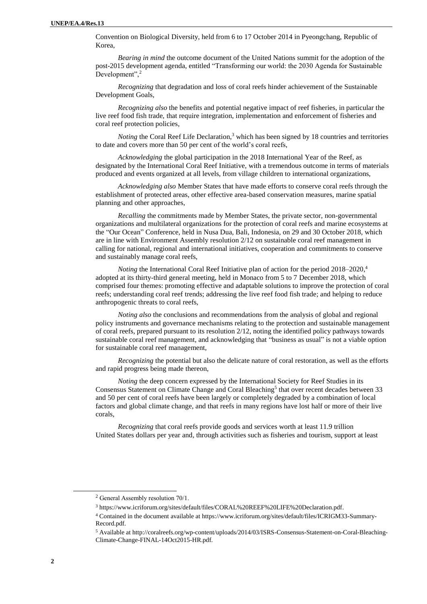Convention on Biological Diversity, held from 6 to 17 October 2014 in Pyeongchang, Republic of Korea,

*Bearing in mind* the outcome document of the United Nations summit for the adoption of the post-2015 development agenda, entitled "Transforming our world: the 2030 Agenda for Sustainable Development",<sup>2</sup>

*Recognizing* that degradation and loss of coral reefs hinder achievement of the Sustainable Development Goals,

*Recognizing also* the benefits and potential negative impact of reef fisheries, in particular the live reef food fish trade, that require integration, implementation and enforcement of fisheries and coral reef protection policies,

*Noting* the Coral Reef Life Declaration,<sup>3</sup> which has been signed by 18 countries and territories to date and covers more than 50 per cent of the world's coral reefs,

*Acknowledging* the global participation in the 2018 International Year of the Reef, as designated by the International Coral Reef Initiative, with a tremendous outcome in terms of materials produced and events organized at all levels, from village children to international organizations,

*Acknowledging also* Member States that have made efforts to conserve coral reefs through the establishment of protected areas, other effective area-based conservation measures, marine spatial planning and other approaches,

*Recalling* the commitments made by Member States, the private sector, non-governmental organizations and multilateral organizations for the protection of coral reefs and marine ecosystems at the "Our Ocean" Conference, held in Nusa Dua, Bali, Indonesia, on 29 and 30 October 2018, which are in line with Environment Assembly resolution 2/12 on sustainable coral reef management in calling for national, regional and international initiatives, cooperation and commitments to conserve and sustainably manage coral reefs,

*Noting* the International Coral Reef Initiative plan of action for the period 2018–2020, 4 adopted at its thirty-third general meeting, held in Monaco from 5 to 7 December 2018, which comprised four themes: promoting effective and adaptable solutions to improve the protection of coral reefs; understanding coral reef trends; addressing the live reef food fish trade; and helping to reduce anthropogenic threats to coral reefs,

*Noting also* the conclusions and recommendations from the analysis of global and regional policy instruments and governance mechanisms relating to the protection and sustainable management of coral reefs, prepared pursuant to its resolution 2/12, noting the identified policy pathways towards sustainable coral reef management, and acknowledging that "business as usual" is not a viable option for sustainable coral reef management,

*Recognizing* the potential but also the delicate nature of coral restoration, as well as the efforts and rapid progress being made thereon,

*Noting* the deep concern expressed by the International Society for Reef Studies in its Consensus Statement on Climate Change and Coral Bleaching<sup>5</sup> that over recent decades between 33 and 50 per cent of coral reefs have been largely or completely degraded by a combination of local factors and global climate change, and that reefs in many regions have lost half or more of their live corals,

*Recognizing* that coral reefs provide goods and services worth at least 11.9 trillion United States dollars per year and, through activities such as fisheries and tourism, support at least

l

<sup>2</sup> General Assembly resolution 70/1.

<sup>3</sup> https://www.icriforum.org/sites/default/files/CORAL%20REEF%20LIFE%20Declaration.pdf.

<sup>4</sup> Contained in the document available at https://www.icriforum.org/sites/default/files/ICRIGM33-Summary-Record.pdf.

<sup>5</sup> Available a[t http://coralreefs.org/wp-content/uploads/2014/03/ISRS-Consensus-Statement-on-Coral-Bleaching-](http://coralreefs.org/wp-content/uploads/2014/03/ISRS-Consensus-Statement-on-Coral-Bleaching-Climate-Change-FINAL-14Oct2015-HR.pdf)[Climate-Change-FINAL-14Oct2015-HR.pdf.](http://coralreefs.org/wp-content/uploads/2014/03/ISRS-Consensus-Statement-on-Coral-Bleaching-Climate-Change-FINAL-14Oct2015-HR.pdf)